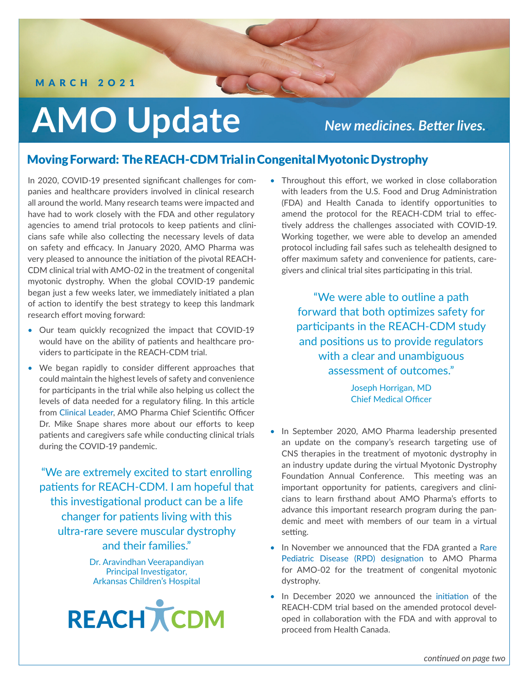#### MARCH 2O21

# **AMO Update**

*New medicines. Better lives..*

### Moving Forward: The REACH-CDM Trial in Congenital Myotonic Dystrophy

In 2020, COVID-19 presented significant challenges for companies and healthcare providers involved in clinical research all around the world. Many research teams were impacted and have had to work closely with the FDA and other regulatory agencies to amend trial protocols to keep patients and clinicians safe while also collecting the necessary levels of data on safety and efficacy. In January 2020, AMO Pharma was very pleased to announce the initiation of the pivotal REACH-CDM clinical trial with AMO-02 in the treatment of congenital myotonic dystrophy. When the global COVID-19 pandemic began just a few weeks later, we immediately initiated a plan of action to identify the best strategy to keep this landmark research effort moving forward:

- Our team quickly recognized the impact that COVID-19 would have on the ability of patients and healthcare providers to participate in the REACH-CDM trial.
- We began rapidly to consider different approaches that could maintain the highest levels of safety and convenience for participants in the trial while also helping us collect the levels of data needed for a regulatory filing. In this article from [Clinical Leader,](https://www.clinicalleader.com/doc/amo-pharma-works-with-fda-to-advance-cns-trials-0001) AMO Pharma Chief Scientific Officer Dr. Mike Snape shares more about our efforts to keep patients and caregivers safe while conducting clinical trials during the COVID-19 pandemic.

"We are extremely excited to start enrolling patients for REACH-CDM. I am hopeful that this investigational product can be a life changer for patients living with this ultra-rare severe muscular dystrophy and their families."

> Dr. Aravindhan Veerapandiyan Principal Investigator, Arkansas Children's Hospital



• Throughout this effort, we worked in close collaboration with leaders from the U.S. Food and Drug Administration (FDA) and Health Canada to identify opportunities to amend the protocol for the REACH-CDM trial to effectively address the challenges associated with COVID-19. Working together, we were able to develop an amended protocol including fail safes such as telehealth designed to offer maximum safety and convenience for patients, caregivers and clinical trial sites participating in this trial.

> "We were able to outline a path forward that both optimizes safety for participants in the REACH-CDM study and positions us to provide regulators with a clear and unambiguous assessment of outcomes."

> > Joseph Horrigan, MD Chief Medical Officer

- In September 2020, AMO Pharma leadership presented an update on the company's research targeting use of CNS therapies in the treatment of myotonic dystrophy in an industry update during the virtual Myotonic Dystrophy Foundation Annual Conference. This meeting was an important opportunity for patients, caregivers and clinicians to learn firsthand about AMO Pharma's efforts to advance this important research program during the pandemic and meet with members of our team in a virtual setting.
- In November we announced that the FDA granted a [Rare](https://www.prnewswire.com/news-releases/fda-grants-rare-pediatric-disease-designation-to-amo-pharma-for-amo-02-for-treatment-of-congenital-myotonic-dystrophy-301168175.html) [Pediatric Disease \(RPD\) designation](https://www.prnewswire.com/news-releases/fda-grants-rare-pediatric-disease-designation-to-amo-pharma-for-amo-02-for-treatment-of-congenital-myotonic-dystrophy-301168175.html) to AMO Pharma for AMO-02 for the treatment of congenital myotonic dystrophy.
- In December 2020 we announced the [initiation](https://www.prnewswire.com/news-releases/amo-pharma-announces-initiation-of-pivotal-reach-cdm-clinical-trial-for-amo-02-in-treatment-of-congenital-myotonic-dystrophy-301197195.html?tc=eml_cleartime) of the REACH-CDM trial based on the amended protocol developed in collaboration with the FDA and with approval to proceed from Health Canada.